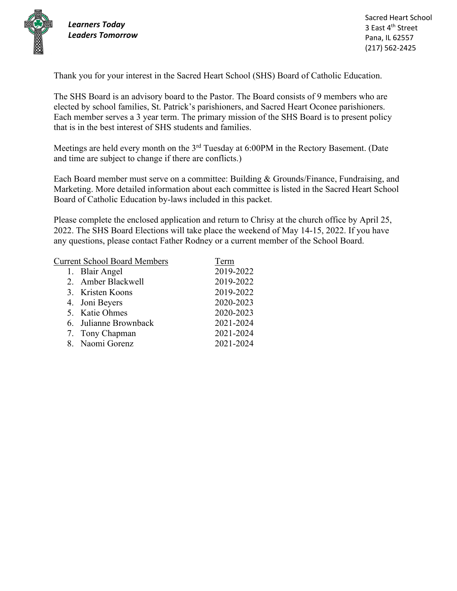

*Learners Today Leaders Tomorrow*

Thank you for your interest in the Sacred Heart School (SHS) Board of Catholic Education.

The SHS Board is an advisory board to the Pastor. The Board consists of 9 members who are elected by school families, St. Patrick's parishioners, and Sacred Heart Oconee parishioners. Each member serves a 3 year term. The primary mission of the SHS Board is to present policy that is in the best interest of SHS students and families.

Meetings are held every month on the 3<sup>rd</sup> Tuesday at 6:00PM in the Rectory Basement. (Date and time are subject to change if there are conflicts.)

Each Board member must serve on a committee: Building & Grounds/Finance, Fundraising, and Marketing. More detailed information about each committee is listed in the Sacred Heart School Board of Catholic Education by-laws included in this packet.

Please complete the enclosed application and return to Chrisy at the church office by April 25, 2022. The SHS Board Elections will take place the weekend of May 14-15, 2022. If you have any questions, please contact Father Rodney or a current member of the School Board.

| Term      |
|-----------|
| 2019-2022 |
| 2019-2022 |
| 2019-2022 |
| 2020-2023 |
| 2020-2023 |
| 2021-2024 |
| 2021-2024 |
| 2021-2024 |
|           |